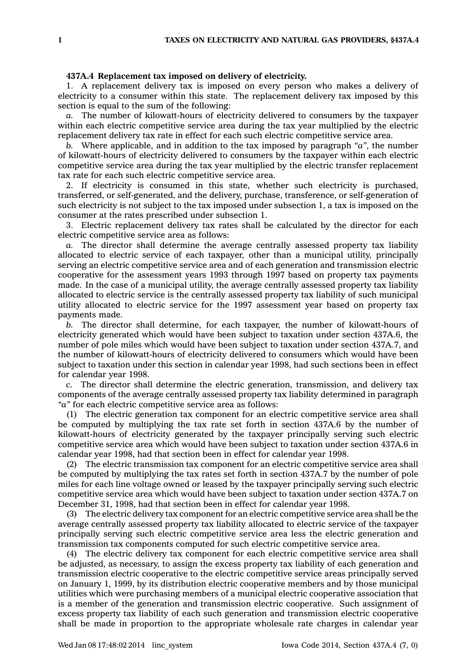## **437A.4 Replacement tax imposed on delivery of electricity.**

1. A replacement delivery tax is imposed on every person who makes <sup>a</sup> delivery of electricity to <sup>a</sup> consumer within this state. The replacement delivery tax imposed by this section is equal to the sum of the following:

*a.* The number of kilowatt-hours of electricity delivered to consumers by the taxpayer within each electric competitive service area during the tax year multiplied by the electric replacement delivery tax rate in effect for each such electric competitive service area.

*b.* Where applicable, and in addition to the tax imposed by paragraph *"a"*, the number of kilowatt-hours of electricity delivered to consumers by the taxpayer within each electric competitive service area during the tax year multiplied by the electric transfer replacement tax rate for each such electric competitive service area.

2. If electricity is consumed in this state, whether such electricity is purchased, transferred, or self-generated, and the delivery, purchase, transference, or self-generation of such electricity is not subject to the tax imposed under subsection 1, <sup>a</sup> tax is imposed on the consumer at the rates prescribed under subsection 1.

3. Electric replacement delivery tax rates shall be calculated by the director for each electric competitive service area as follows:

*a.* The director shall determine the average centrally assessed property tax liability allocated to electric service of each taxpayer, other than <sup>a</sup> municipal utility, principally serving an electric competitive service area and of each generation and transmission electric cooperative for the assessment years 1993 through 1997 based on property tax payments made. In the case of <sup>a</sup> municipal utility, the average centrally assessed property tax liability allocated to electric service is the centrally assessed property tax liability of such municipal utility allocated to electric service for the 1997 assessment year based on property tax payments made.

*b.* The director shall determine, for each taxpayer, the number of kilowatt-hours of electricity generated which would have been subject to taxation under section 437A.6, the number of pole miles which would have been subject to taxation under section 437A.7, and the number of kilowatt-hours of electricity delivered to consumers which would have been subject to taxation under this section in calendar year 1998, had such sections been in effect for calendar year 1998.

*c.* The director shall determine the electric generation, transmission, and delivery tax components of the average centrally assessed property tax liability determined in paragraph *"a"* for each electric competitive service area as follows:

(1) The electric generation tax component for an electric competitive service area shall be computed by multiplying the tax rate set forth in section 437A.6 by the number of kilowatt-hours of electricity generated by the taxpayer principally serving such electric competitive service area which would have been subject to taxation under section 437A.6 in calendar year 1998, had that section been in effect for calendar year 1998.

(2) The electric transmission tax component for an electric competitive service area shall be computed by multiplying the tax rates set forth in section 437A.7 by the number of pole miles for each line voltage owned or leased by the taxpayer principally serving such electric competitive service area which would have been subject to taxation under section 437A.7 on December 31, 1998, had that section been in effect for calendar year 1998.

(3) The electric delivery tax component for an electric competitive service area shall be the average centrally assessed property tax liability allocated to electric service of the taxpayer principally serving such electric competitive service area less the electric generation and transmission tax components computed for such electric competitive service area.

(4) The electric delivery tax component for each electric competitive service area shall be adjusted, as necessary, to assign the excess property tax liability of each generation and transmission electric cooperative to the electric competitive service areas principally served on January 1, 1999, by its distribution electric cooperative members and by those municipal utilities which were purchasing members of <sup>a</sup> municipal electric cooperative association that is <sup>a</sup> member of the generation and transmission electric cooperative. Such assignment of excess property tax liability of each such generation and transmission electric cooperative shall be made in proportion to the appropriate wholesale rate charges in calendar year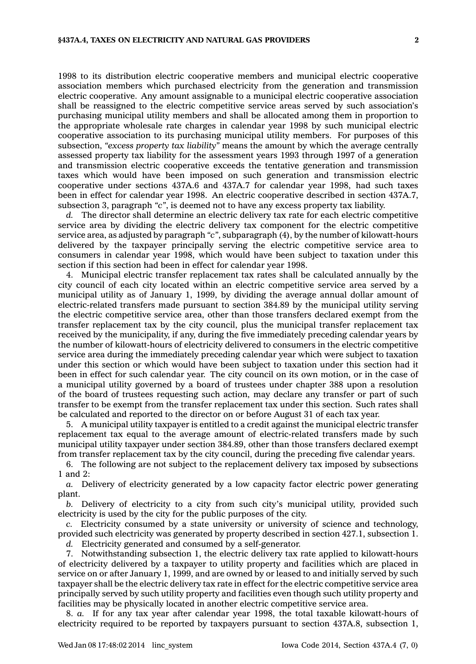1998 to its distribution electric cooperative members and municipal electric cooperative association members which purchased electricity from the generation and transmission electric cooperative. Any amount assignable to <sup>a</sup> municipal electric cooperative association shall be reassigned to the electric competitive service areas served by such association's purchasing municipal utility members and shall be allocated among them in proportion to the appropriate wholesale rate charges in calendar year 1998 by such municipal electric cooperative association to its purchasing municipal utility members. For purposes of this subsection, *"excess property tax liability"* means the amount by which the average centrally assessed property tax liability for the assessment years 1993 through 1997 of <sup>a</sup> generation and transmission electric cooperative exceeds the tentative generation and transmission taxes which would have been imposed on such generation and transmission electric cooperative under sections 437A.6 and 437A.7 for calendar year 1998, had such taxes been in effect for calendar year 1998. An electric cooperative described in section 437A.7, subsection 3, paragraph *"c"*, is deemed not to have any excess property tax liability.

*d.* The director shall determine an electric delivery tax rate for each electric competitive service area by dividing the electric delivery tax component for the electric competitive service area, as adjusted by paragraph *"c"*, subparagraph (4), by the number of kilowatt-hours delivered by the taxpayer principally serving the electric competitive service area to consumers in calendar year 1998, which would have been subject to taxation under this section if this section had been in effect for calendar year 1998.

4. Municipal electric transfer replacement tax rates shall be calculated annually by the city council of each city located within an electric competitive service area served by <sup>a</sup> municipal utility as of January 1, 1999, by dividing the average annual dollar amount of electric-related transfers made pursuant to section 384.89 by the municipal utility serving the electric competitive service area, other than those transfers declared exempt from the transfer replacement tax by the city council, plus the municipal transfer replacement tax received by the municipality, if any, during the five immediately preceding calendar years by the number of kilowatt-hours of electricity delivered to consumers in the electric competitive service area during the immediately preceding calendar year which were subject to taxation under this section or which would have been subject to taxation under this section had it been in effect for such calendar year. The city council on its own motion, or in the case of <sup>a</sup> municipal utility governed by <sup>a</sup> board of trustees under chapter 388 upon <sup>a</sup> resolution of the board of trustees requesting such action, may declare any transfer or part of such transfer to be exempt from the transfer replacement tax under this section. Such rates shall be calculated and reported to the director on or before August 31 of each tax year.

5. A municipal utility taxpayer is entitled to <sup>a</sup> credit against the municipal electric transfer replacement tax equal to the average amount of electric-related transfers made by such municipal utility taxpayer under section 384.89, other than those transfers declared exempt from transfer replacement tax by the city council, during the preceding five calendar years.

6. The following are not subject to the replacement delivery tax imposed by subsections 1 and 2:

*a.* Delivery of electricity generated by <sup>a</sup> low capacity factor electric power generating plant.

*b.* Delivery of electricity to <sup>a</sup> city from such city's municipal utility, provided such electricity is used by the city for the public purposes of the city.

*c.* Electricity consumed by <sup>a</sup> state university or university of science and technology, provided such electricity was generated by property described in section 427.1, subsection 1.

*d.* Electricity generated and consumed by <sup>a</sup> self-generator.

7. Notwithstanding subsection 1, the electric delivery tax rate applied to kilowatt-hours of electricity delivered by <sup>a</sup> taxpayer to utility property and facilities which are placed in service on or after January 1, 1999, and are owned by or leased to and initially served by such taxpayer shall be the electric delivery tax rate in effect for the electric competitive service area principally served by such utility property and facilities even though such utility property and facilities may be physically located in another electric competitive service area.

8. *a.* If for any tax year after calendar year 1998, the total taxable kilowatt-hours of electricity required to be reported by taxpayers pursuant to section 437A.8, subsection 1,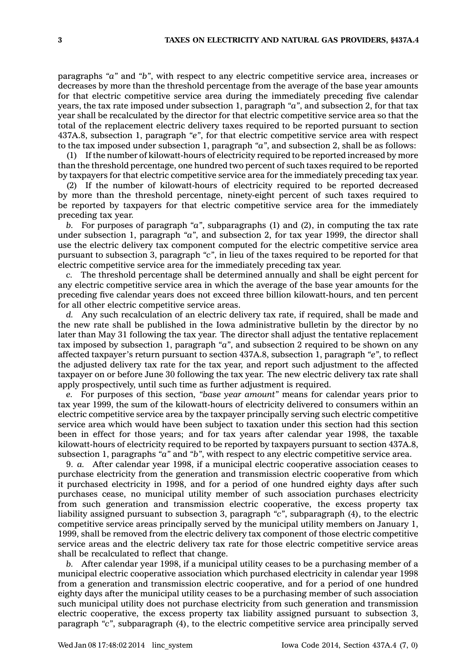paragraphs *"a"* and *"b"*, with respect to any electric competitive service area, increases or decreases by more than the threshold percentage from the average of the base year amounts for that electric competitive service area during the immediately preceding five calendar years, the tax rate imposed under subsection 1, paragraph *"a"*, and subsection 2, for that tax year shall be recalculated by the director for that electric competitive service area so that the total of the replacement electric delivery taxes required to be reported pursuant to section 437A.8, subsection 1, paragraph *"e"*, for that electric competitive service area with respect to the tax imposed under subsection 1, paragraph *"a"*, and subsection 2, shall be as follows:

(1) If the number of kilowatt-hours of electricity required to be reported increased by more than the threshold percentage, one hundred two percent of such taxes required to be reported by taxpayers for that electric competitive service area for the immediately preceding tax year.

(2) If the number of kilowatt-hours of electricity required to be reported decreased by more than the threshold percentage, ninety-eight percent of such taxes required to be reported by taxpayers for that electric competitive service area for the immediately preceding tax year.

*b.* For purposes of paragraph *"a"*, subparagraphs (1) and (2), in computing the tax rate under subsection 1, paragraph *"a"*, and subsection 2, for tax year 1999, the director shall use the electric delivery tax component computed for the electric competitive service area pursuant to subsection 3, paragraph *"c"*, in lieu of the taxes required to be reported for that electric competitive service area for the immediately preceding tax year.

*c.* The threshold percentage shall be determined annually and shall be eight percent for any electric competitive service area in which the average of the base year amounts for the preceding five calendar years does not exceed three billion kilowatt-hours, and ten percent for all other electric competitive service areas.

*d.* Any such recalculation of an electric delivery tax rate, if required, shall be made and the new rate shall be published in the Iowa administrative bulletin by the director by no later than May 31 following the tax year. The director shall adjust the tentative replacement tax imposed by subsection 1, paragraph *"a"*, and subsection 2 required to be shown on any affected taxpayer's return pursuant to section 437A.8, subsection 1, paragraph *"e"*, to reflect the adjusted delivery tax rate for the tax year, and report such adjustment to the affected taxpayer on or before June 30 following the tax year. The new electric delivery tax rate shall apply prospectively, until such time as further adjustment is required.

*e.* For purposes of this section, *"base year amount"* means for calendar years prior to tax year 1999, the sum of the kilowatt-hours of electricity delivered to consumers within an electric competitive service area by the taxpayer principally serving such electric competitive service area which would have been subject to taxation under this section had this section been in effect for those years; and for tax years after calendar year 1998, the taxable kilowatt-hours of electricity required to be reported by taxpayers pursuant to section 437A.8, subsection 1, paragraphs *"a"* and *"b"*, with respect to any electric competitive service area.

9. *a.* After calendar year 1998, if <sup>a</sup> municipal electric cooperative association ceases to purchase electricity from the generation and transmission electric cooperative from which it purchased electricity in 1998, and for <sup>a</sup> period of one hundred eighty days after such purchases cease, no municipal utility member of such association purchases electricity from such generation and transmission electric cooperative, the excess property tax liability assigned pursuant to subsection 3, paragraph *"c"*, subparagraph (4), to the electric competitive service areas principally served by the municipal utility members on January 1, 1999, shall be removed from the electric delivery tax component of those electric competitive service areas and the electric delivery tax rate for those electric competitive service areas shall be recalculated to reflect that change.

*b.* After calendar year 1998, if <sup>a</sup> municipal utility ceases to be <sup>a</sup> purchasing member of <sup>a</sup> municipal electric cooperative association which purchased electricity in calendar year 1998 from <sup>a</sup> generation and transmission electric cooperative, and for <sup>a</sup> period of one hundred eighty days after the municipal utility ceases to be <sup>a</sup> purchasing member of such association such municipal utility does not purchase electricity from such generation and transmission electric cooperative, the excess property tax liability assigned pursuant to subsection 3, paragraph *"c"*, subparagraph (4), to the electric competitive service area principally served